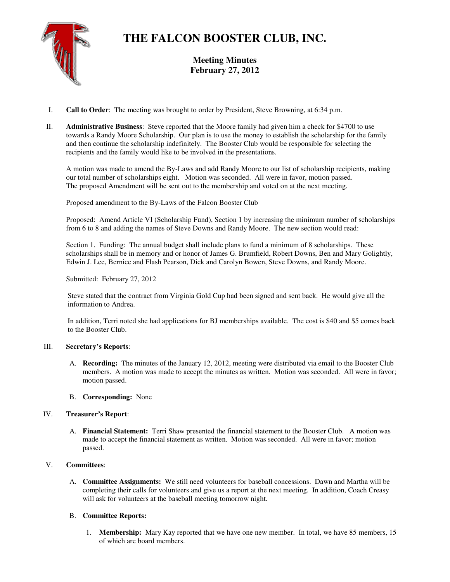

# **THE FALCON BOOSTER CLUB, INC.**

**Meeting Minutes February 27, 2012** 

- I. **Call to Order**: The meeting was brought to order by President, Steve Browning, at 6:34 p.m.
- II. **Administrative Business**: Steve reported that the Moore family had given him a check for \$4700 to use towards a Randy Moore Scholarship. Our plan is to use the money to establish the scholarship for the family and then continue the scholarship indefinitely. The Booster Club would be responsible for selecting the recipients and the family would like to be involved in the presentations.

A motion was made to amend the By-Laws and add Randy Moore to our list of scholarship recipients, making our total number of scholarships eight. Motion was seconded. All were in favor, motion passed. The proposed Amendment will be sent out to the membership and voted on at the next meeting.

Proposed amendment to the By-Laws of the Falcon Booster Club

Proposed: Amend Article VI (Scholarship Fund), Section 1 by increasing the minimum number of scholarships from 6 to 8 and adding the names of Steve Downs and Randy Moore. The new section would read:

Section 1. Funding: The annual budget shall include plans to fund a minimum of 8 scholarships. These scholarships shall be in memory and or honor of James G. Brumfield, Robert Downs, Ben and Mary Golightly, Edwin J. Lee, Bernice and Flash Pearson, Dick and Carolyn Bowen, Steve Downs, and Randy Moore.

Submitted: February 27, 2012

 Steve stated that the contract from Virginia Gold Cup had been signed and sent back. He would give all the information to Andrea.

 In addition, Terri noted she had applications for BJ memberships available. The cost is \$40 and \$5 comes back to the Booster Club.

### III. **Secretary's Reports**:

- A. **Recording:** The minutes of the January 12, 2012, meeting were distributed via email to the Booster Club members. A motion was made to accept the minutes as written. Motion was seconded. All were in favor; motion passed.
- B. **Corresponding:** None

## IV. **Treasurer's Report**:

A. **Financial Statement:** Terri Shaw presented the financial statement to the Booster Club. A motion was made to accept the financial statement as written. Motion was seconded. All were in favor; motion passed.

## V. **Committees**:

A. **Committee Assignments:** We still need volunteers for baseball concessions. Dawn and Martha will be completing their calls for volunteers and give us a report at the next meeting. In addition, Coach Creasy will ask for volunteers at the baseball meeting tomorrow night.

## B. **Committee Reports:**

1. **Membership:** Mary Kay reported that we have one new member. In total, we have 85 members, 15 of which are board members.